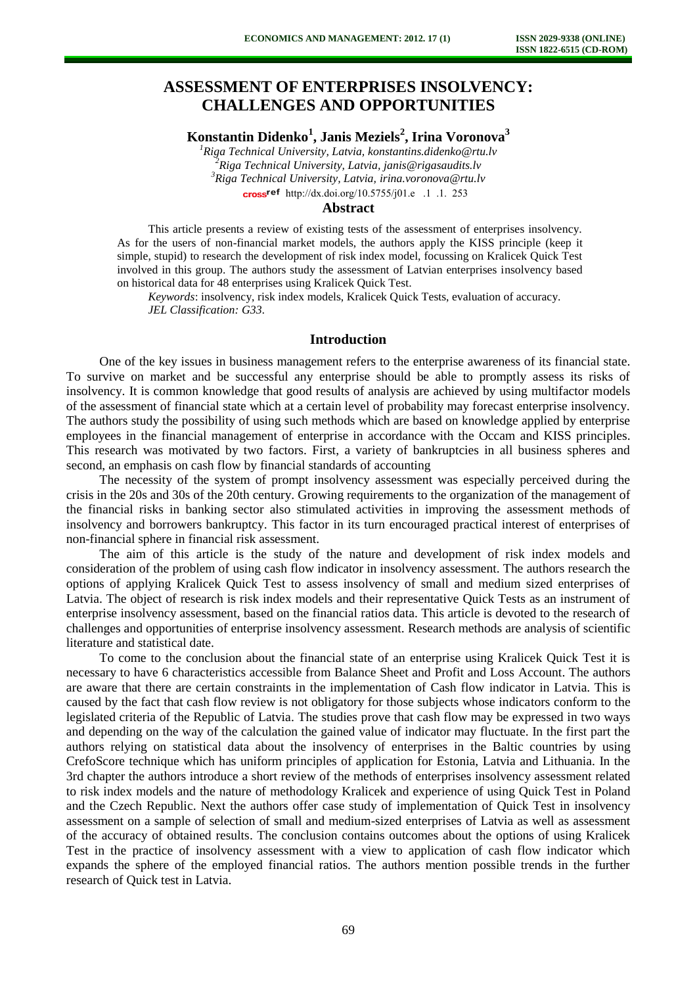# **ASSESSMENT OF ENTERPRISES INSOLVENCY: CHALLENGES AND OPPORTUNITIES**

**Konstantin Didenko<sup>1</sup> , Janis Meziels<sup>2</sup> , Irina Voronova<sup>3</sup>**

*Riga Technical University, Latvia, [konstantins.didenko@rtu.lv](mailto:konstantins.didenko@rtu.lv) Riga Technical University, Latvia, [janis@rigasaudits.lv](mailto:janis@rigasaudits.lv) Riga Technical University, Latvia, irina.voronova@rtu.lv* cross<sup>ref</sup> http://dx.doi.org/10.5755/j01.em.17.1.2253

#### **Abstract**

This article presents a review of existing tests of the assessment of enterprises insolvency. As for the users of non-financial market models, the authors apply the KISS principle (keep it simple, stupid) to research the development of risk index model, focussing on Kralicek Quick Test involved in this group. The authors study the assessment of Latvian enterprises insolvency based on historical data for 48 enterprises using Kralicek Quick Test.

*Keywords*: insolvency, risk index models, Kralicek Quick Tests, evaluation of accuracy. *JEL Classification: G33.* 

### **Introduction**

One of the key issues in business management refers to the enterprise awareness of its financial state. To survive on market and be successful any enterprise should be able to promptly assess its risks of insolvency. It is common knowledge that good results of analysis are achieved by using multifactor models of the assessment of financial state which at a certain level of probability may forecast enterprise insolvency. The authors study the possibility of using such methods which are based on knowledge applied by enterprise employees in the financial management of enterprise in accordance with the Occam and KISS principles. This research was motivated by two factors. First, a variety of bankruptcies in all business spheres and second, an emphasis on cash flow by financial standards of accounting

The necessity of the system of prompt insolvency assessment was especially perceived during the crisis in the 20s and 30s of the 20th century. Growing requirements to the organization of the management of the financial risks in banking sector also stimulated activities in improving the assessment methods of insolvency and borrowers bankruptcy. This factor in its turn encouraged practical interest of enterprises of non-financial sphere in financial risk assessment.

The aim of this article is the study of the nature and development of risk index models and consideration of the problem of using cash flow indicator in insolvency assessment. The authors research the options of applying Kralicek Quick Test to assess insolvency of small and medium sized enterprises of Latvia. The object of research is risk index models and their representative Quick Tests as an instrument of enterprise insolvency assessment, based on the financial ratios data. This article is devoted to the research of challenges and opportunities of enterprise insolvency assessment. Research methods are analysis of scientific literature and statistical date.

To come to the conclusion about the financial state of an enterprise using Kralicek Quick Test it is necessary to have 6 characteristics accessible from Balance Sheet and Profit and Loss Account. The authors are aware that there are certain constraints in the implementation of Cash flow indicator in Latvia. This is caused by the fact that cash flow review is not obligatory for those subjects whose indicators conform to the legislated criteria of the Republic of Latvia. The studies prove that cash flow may be expressed in two ways and depending on the way of the calculation the gained value of indicator may fluctuate. In the first part the authors relying on statistical data about the insolvency of enterprises in the Baltic countries by using CrefoScore technique which has uniform principles of application for Estonia, Latvia and Lithuania. In the 3rd chapter the authors introduce a short review of the methods of enterprises insolvency assessment related to risk index models and the nature of methodology Kralicek and experience of using Quick Test in Poland and the Czech Republic. Next the authors offer case study of implementation of Quick Test in insolvency assessment on a sample of selection of small and medium-sized enterprises of Latvia as well as assessment of the accuracy of obtained results. The conclusion contains outcomes about the options of using Kralicek Test in the practice of insolvency assessment with a view to application of cash flow indicator which expands the sphere of the employed financial ratios. The authors mention possible trends in the further research of Quick test in Latvia.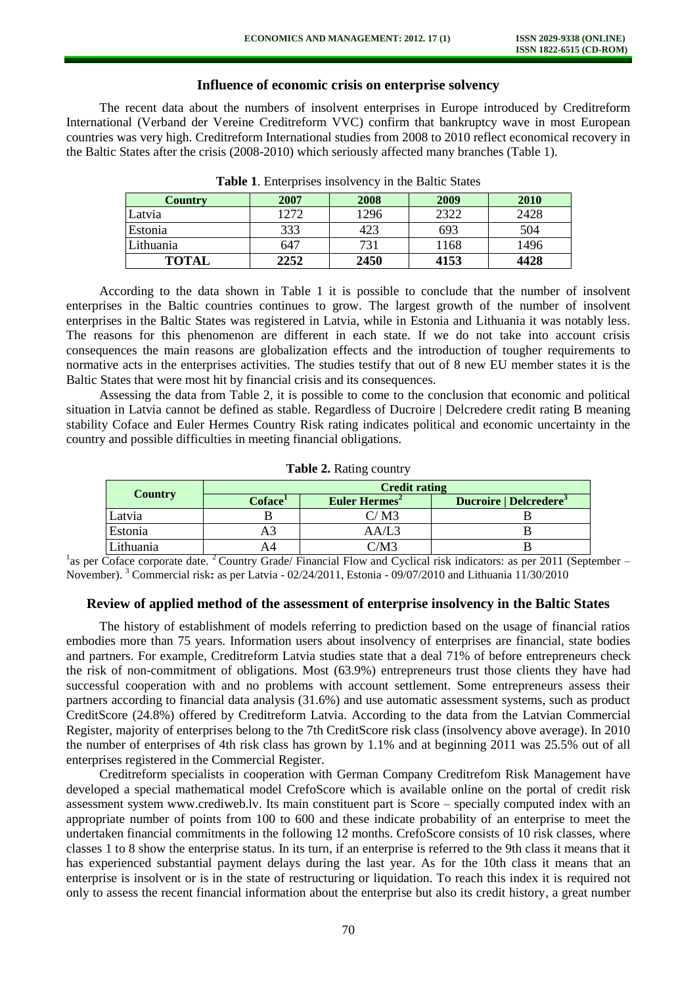## **Influence of economic crisis on enterprise solvency**

The recent data about the numbers of insolvent enterprises in Europe introduced by Creditreform International (Verband der Vereine Creditreform VVC) confirm that bankruptcy wave in most European countries was very high. Creditreform International studies from 2008 to 2010 reflect economical recovery in the Baltic States after the crisis (2008-2010) which seriously affected many branches (Table 1).

| Country      | 2007 | 2008 | 2009 | 2010 |
|--------------|------|------|------|------|
| Latvia       | 1272 | 1296 | 2322 | 2428 |
| Estonia      | 333  | 423  | 693  | 504  |
| Lithuania    | 647  | 731  | 1168 | 1496 |
| <b>TOTAL</b> | 2252 | 2450 | 4153 | 4428 |

**Table 1**. Enterprises insolvency in the Baltic States

According to the data shown in Table 1 it is possible to conclude that the number of insolvent enterprises in the Baltic countries continues to grow. The largest growth of the number of insolvent enterprises in the Baltic States was registered in Latvia, while in Estonia and Lithuania it was notably less. The reasons for this phenomenon are different in each state. If we do not take into account crisis consequences the main reasons are globalization effects and the introduction of tougher requirements to normative acts in the enterprises activities. The studies testify that out of 8 new EU member states it is the Baltic States that were most hit by financial crisis and its consequences.

Assessing the data from Table 2, it is possible to come to the conclusion that economic and political situation in Latvia cannot be defined as stable. Regardless of Ducroire | Delcredere credit rating B meaning stability Coface and Euler Hermes Country Risk rating indicates political and economic uncertainty in the country and possible difficulties in meeting financial obligations.

| <b>Country</b> | <b>Credit rating</b>       |                           |                                    |  |  |  |  |  |
|----------------|----------------------------|---------------------------|------------------------------------|--|--|--|--|--|
|                | <b>Coface</b> <sup>1</sup> | Euler Hermes <sup>2</sup> | Ducroire   Delcredere <sup>3</sup> |  |  |  |  |  |
| Latvia         |                            | C/M3                      |                                    |  |  |  |  |  |
| Estonia        |                            | AA/L3                     |                                    |  |  |  |  |  |
| Lithuania      |                            | C/M3                      |                                    |  |  |  |  |  |

|  |  |  | Table 2. Rating country |
|--|--|--|-------------------------|
|--|--|--|-------------------------|

<sup>1</sup>as per Coface corporate date. <sup>2</sup> Country Grade/ Financial Flow and Cyclical risk indicators: as per 2011 (September – November). <sup>3</sup> Commercial risk**:** as per Latvia - 02/24/2011, Estonia - 09/07/2010 and Lithuania 11/30/2010

#### **Review of applied method of the assessment of enterprise insolvency in the Baltic States**

The history of establishment of models referring to prediction based on the usage of financial ratios embodies more than 75 years. Information users about insolvency of enterprises are financial, state bodies and partners. For example, Creditreform Latvia studies state that a deal 71% of before entrepreneurs check the risk of non-commitment of obligations. Most (63.9%) entrepreneurs trust those clients they have had successful cooperation with and no problems with account settlement. Some entrepreneurs assess their partners according to financial data analysis (31.6%) and use automatic assessment systems, such as product CreditScore (24.8%) offered by Creditreform Latvia. According to the data from the Latvian Commercial Register, majority of enterprises belong to the 7th CreditScore risk class (insolvency above average). In 2010 the number of enterprises of 4th risk class has grown by 1.1% and at beginning 2011 was 25.5% out of all enterprises registered in the Commercial Register.

Creditreform specialists in cooperation with German Company Creditrefom Risk Management have developed a special mathematical model CrefoScore which is available online on the portal of credit risk assessment system www.crediweb.lv. Its main constituent part is Score – specially computed index with an appropriate number of points from 100 to 600 and these indicate probability of an enterprise to meet the undertaken financial commitments in the following 12 months. CrefoScore consists of 10 risk classes, where classes 1 to 8 show the enterprise status. In its turn, if an enterprise is referred to the 9th class it means that it has experienced substantial payment delays during the last year. As for the 10th class it means that an enterprise is insolvent or is in the state of restructuring or liquidation. To reach this index it is required not only to assess the recent financial information about the enterprise but also its credit history, a great number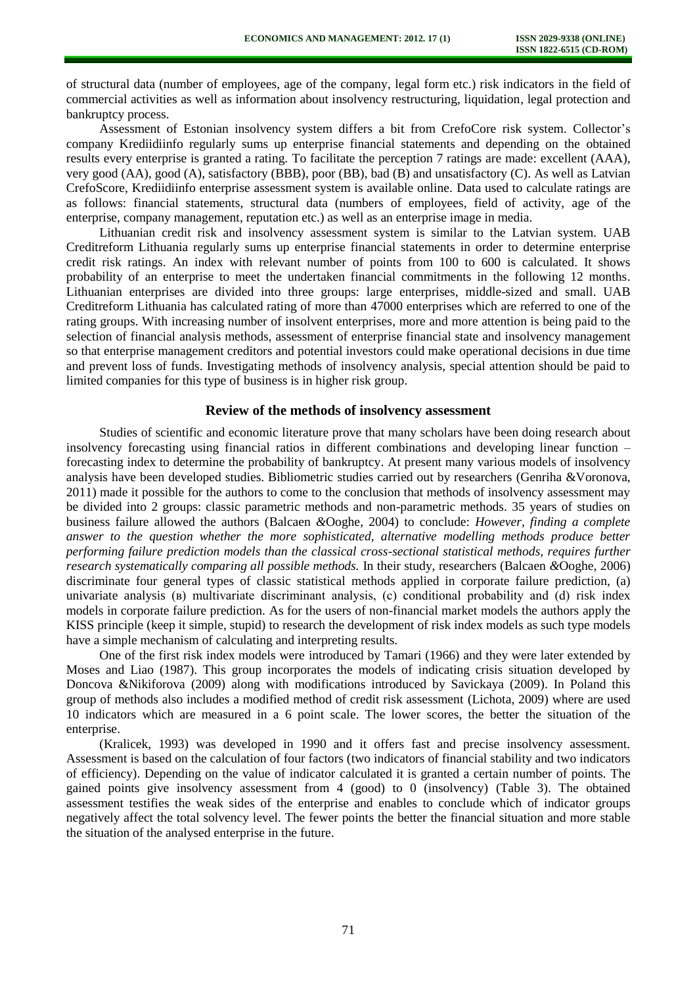of structural data (number of employees, age of the company, legal form etc.) risk indicators in the field of commercial activities as well as information about insolvency restructuring, liquidation, legal protection and bankruptcy process.

Assessment of Estonian insolvency system differs a bit from CrefoCore risk system. Collector's company Krediidiinfo regularly sums up enterprise financial statements and depending on the obtained results every enterprise is granted a rating. To facilitate the perception 7 ratings are made: excellent (AAA), very good (AA), good (A), satisfactory (BBB), poor (BB), bad (B) and unsatisfactory (C). As well as Latvian CrefoScore, Krediidiinfo enterprise assessment system is available online. Data used to calculate ratings are as follows: financial statements, structural data (numbers of employees, field of activity, age of the enterprise, company management, reputation etc.) as well as an enterprise image in media.

Lithuanian credit risk and insolvency assessment system is similar to the Latvian system. UAB Creditreform Lithuania regularly sums up enterprise financial statements in order to determine enterprise credit risk ratings. An index with relevant number of points from 100 to 600 is calculated. It shows probability of an enterprise to meet the undertaken financial commitments in the following 12 months. Lithuanian enterprises are divided into three groups: large enterprises, middle-sized and small. UAB Creditreform Lithuania has calculated rating of more than 47000 enterprises which are referred to one of the rating groups. With increasing number of insolvent enterprises, more and more attention is being paid to the selection of financial analysis methods, assessment of enterprise financial state and insolvency management so that enterprise management creditors and potential investors could make operational decisions in due time and prevent loss of funds. Investigating methods of insolvency analysis, special attention should be paid to limited companies for this type of business is in higher risk group.

## **Review of the methods of insolvency assessment**

Studies of scientific and economic literature prove that many scholars have been doing research about insolvency forecasting using financial ratios in different combinations and developing linear function – forecasting index to determine the probability of bankruptcy. At present many various models of insolvency analysis have been developed studies. Bibliometric studies carried out by researchers (Genriha &Voronova, 2011) made it possible for the authors to come to the conclusion that methods of insolvency assessment may be divided into 2 groups: classic parametric methods and non-parametric methods. 35 years of studies on business failure allowed the authors (Balcaen *&*Ooghe, 2004) to conclude: *However, finding a complete answer to the question whether the more sophisticated, alternative modelling methods produce better performing failure prediction models than the classical cross-sectional statistical methods, requires further research systematically comparing all possible methods.* In their study, researchers (Balcaen *&*Ooghe, 2006) discriminate four general types of classic statistical methods applied in corporate failure prediction, (a) univariate analysis (в) multivariate discriminant analysis, (с) conditional probability and (d) risk index models in corporate failure prediction. As for the users of non-financial market models the authors apply the KISS principle (keep it simple, stupid) to research the development of risk index models as such type models have a simple mechanism of calculating and interpreting results.

One of the first risk index models were introduced by Tamari (1966) and they were later extended by Moses and Liao (1987). This group incorporates the models of indicating crisis situation developed by Doncova &Nikiforova (2009) along with modifications introduced by Savickaya (2009). In Poland this group of methods also includes a modified method of credit risk assessment (Lichota, 2009) where are used 10 indicators which are measured in a 6 point scale. The lower scores, the better the situation of the enterprise.

(Kralicek, 1993) was developed in 1990 and it offers fast and precise insolvency assessment. Assessment is based on the calculation of four factors (two indicators of financial stability and two indicators of efficiency). Depending on the value of indicator calculated it is granted a certain number of points. The gained points give insolvency assessment from 4 (good) to 0 (insolvency) (Table 3). The obtained assessment testifies the weak sides of the enterprise and enables to conclude which of indicator groups negatively affect the total solvency level. The fewer points the better the financial situation and more stable the situation of the analysed enterprise in the future.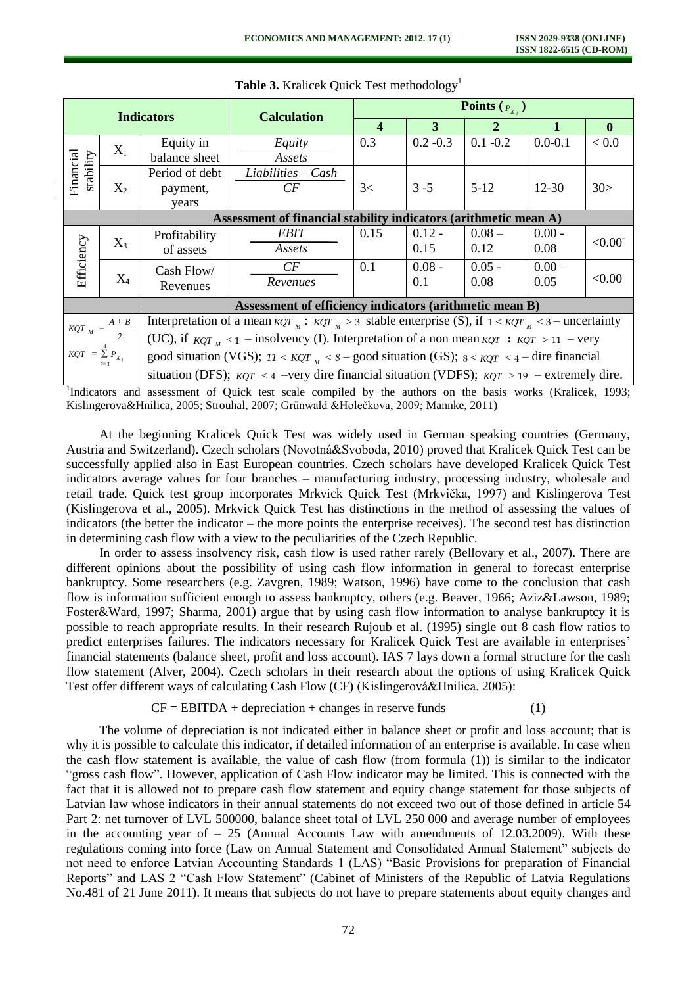|                        |                                               |                                                                                                              |                                                                                                              | <b>Points</b> $(P_{X_i})$ |             |              |              |              |  |  |
|------------------------|-----------------------------------------------|--------------------------------------------------------------------------------------------------------------|--------------------------------------------------------------------------------------------------------------|---------------------------|-------------|--------------|--------------|--------------|--|--|
|                        |                                               | <b>Indicators</b>                                                                                            | <b>Calculation</b>                                                                                           |                           |             |              |              |              |  |  |
|                        |                                               |                                                                                                              |                                                                                                              | 4                         | 3           | $\mathbf{2}$ | $\mathbf{1}$ | $\mathbf{0}$ |  |  |
|                        |                                               | Equity in                                                                                                    | Equity                                                                                                       | 0.3                       | $0.2 - 0.3$ | $0.1 - 0.2$  | $0.0 - 0.1$  | < 0.0        |  |  |
| $X_1$                  |                                               | balance sheet                                                                                                | Assets                                                                                                       |                           |             |              |              |              |  |  |
| stability              |                                               | Period of debt                                                                                               | $Liabilities - Cash$                                                                                         |                           |             |              |              |              |  |  |
| Financial              | $X_2$                                         | payment,                                                                                                     | CF                                                                                                           | 3<                        | $3 - 5$     | $5-12$       | $12 - 30$    | 30>          |  |  |
| years                  |                                               |                                                                                                              |                                                                                                              |                           |             |              |              |              |  |  |
|                        |                                               |                                                                                                              | Assessment of financial stability indicators (arithmetic mean A)                                             |                           |             |              |              |              |  |  |
|                        |                                               | Profitability                                                                                                | <b>EBIT</b>                                                                                                  | 0.15                      | $0.12 -$    | $0.08 -$     | $0.00 -$     |              |  |  |
|                        | $X_3$                                         | of assets                                                                                                    | Assets                                                                                                       |                           | 0.15        | 0.12         | 0.08         | < 0.00       |  |  |
|                        | Efficiency<br>Cash Flow/<br>$X_4$<br>Revenues |                                                                                                              | CF                                                                                                           | 0.1                       | $0.08 -$    | $0.05 -$     | $0.00 -$     |              |  |  |
|                        |                                               |                                                                                                              | Revenues                                                                                                     |                           | 0.1         | 0.08         | 0.05         | < 0.00       |  |  |
|                        |                                               |                                                                                                              | Assessment of efficiency indicators (arithmetic mean B)                                                      |                           |             |              |              |              |  |  |
|                        |                                               | Interpretation of a mean $KQT_M$ : $KQT_M > 3$ stable enterprise (S), if $1 \leq KQT_M \leq 3$ - uncertainty |                                                                                                              |                           |             |              |              |              |  |  |
|                        | $KQT_M = \frac{A+B}{2}$                       | (UC), if $KQT_{\nu} \leq 1$ – insolvency (I). Interpretation of a non mean $KQT : KQT > 11$ – very           |                                                                                                              |                           |             |              |              |              |  |  |
| $KQT = \sum^4 P_{X_i}$ |                                               |                                                                                                              | good situation (VGS); $11 \leq KQT_{\mu} \leq 8$ – good situation (GS); $8 \leq KQT \leq 4$ – dire financial |                           |             |              |              |              |  |  |
|                        |                                               | situation (DFS); $KQT \leq 4$ -very dire financial situation (VDFS); $KQT \geq 19$ -extremely dire.          |                                                                                                              |                           |             |              |              |              |  |  |

**Table 3.** Kralicek Quick Test methodology<sup>1</sup>

<sup>1</sup>Indicators and assessment of Quick test scale compiled by the authors on the basis works (Kralicek, 1993; Kislingerova&Hnilica, 2005; Strouhal, 2007; Grünwald &Holečkova, 2009; Mannke, 2011)

At the beginning Kralicek Quick Test was widely used in German speaking countries (Germany, Austria and Switzerland). Czech scholars (Novotná&Svoboda, 2010) proved that Kralicek Quick Test can be successfully applied also in East European countries. Czech scholars have developed Kralicek Quick Test indicators average values for four branches – manufacturing industry, processing industry, wholesale and retail trade. Quick test group incorporates Mrkvick Quick Test (Mrkvička, 1997) and Kislingerova Test (Kislingerova et al., 2005). Mrkvick Quick Test has distinctions in the method of assessing the values of indicators (the better the indicator – the more points the enterprise receives). The second test has distinction in determining cash flow with a view to the peculiarities of the Czech Republic.

In order to assess insolvency risk, cash flow is used rather rarely (Bellovary et al., 2007). There are different opinions about the possibility of using cash flow information in general to forecast enterprise bankruptcy. Some researchers (e.g. Zavgren, 1989; Watson, 1996) have come to the conclusion that cash flow is information sufficient enough to assess bankruptcy, others (e.g. Beaver, 1966; Aziz&Lawson, 1989; Foster&Ward, 1997; Sharma, 2001) argue that by using cash flow information to analyse bankruptcy it is possible to reach appropriate results. In their research Rujoub et al. (1995) single out 8 cash flow ratios to predict enterprises failures. The indicators necessary for Kralicek Quick Test are available in enterprises' financial statements (balance sheet, profit and loss account). IAS 7 lays down a formal structure for the cash flow statement (Alver, 2004). Czech scholars in their research about the options of using Kralicek Quick Test offer different ways of calculating Cash Flow (CF) (Kislingerová&Hnilica, 2005):

$$
CF = EBITDA + depreciation + changes in reserve funds \t(1)
$$

The volume of depreciation is not indicated either in balance sheet or profit and loss account; that is why it is possible to calculate this indicator, if detailed information of an enterprise is available. In case when the cash flow statement is available, the value of cash flow (from formula (1)) is similar to the indicator "gross cash flow". However, application of Cash Flow indicator may be limited. This is connected with the fact that it is allowed not to prepare cash flow statement and equity change statement for those subjects of Latvian law whose indicators in their annual statements do not exceed two out of those defined in article 54 Part 2: net turnover of LVL 500000, balance sheet total of LVL 250 000 and average number of employees in the accounting year of  $-25$  [\(Annual Accounts Law with amendments of 12.03.2009\).](http://www.vvc.gov.lv/export/sites/default/docs/LRTA/Likumi/Annual_Accounts_Law.doc) With these regulations coming into force (Law on Annual Statement and Consolidated Annual Statement" subjects do not need to enforce Latvian Accounting Standards 1 (LAS) "Basic Provisions for preparation of Financial Reports" and LAS 2 "Cash Flow Statement" (Cabinet of Ministers of the Republic of Latvia Regulations No.481 of 21 June 2011). It means that subjects do not have to prepare statements about equity changes and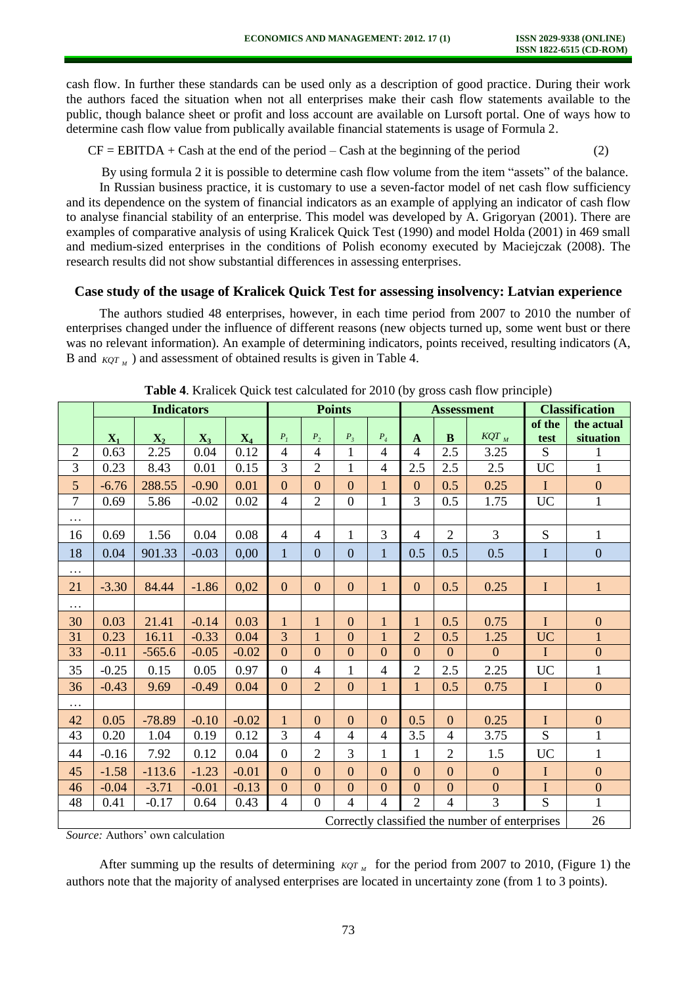cash flow. In further these standards can be used only as a description of good practice. During their work the authors faced the situation when not all enterprises make their cash flow statements available to the public, though balance sheet or profit and loss account are available on Lursoft portal. One of ways how to determine cash flow value from publically available financial statements is usage of Formula 2.

 $CF = EBITDA + Cash$  at the end of the period  $-Cash$  at the beginning of the period (2)

By using formula 2 it is possible to determine cash flow volume from the item "assets" of the balance. In Russian business practice, it is customary to use a seven-factor model of net cash flow sufficiency and its dependence on the system of financial indicators as an example of applying an indicator of cash flow to analyse financial stability of an enterprise. This model was developed by A. Grigoryan (2001). There are examples of comparative analysis of using Kralicek Quick Test (1990) and model Holda (2001) in 469 small and medium-sized enterprises in the conditions of Polish economy executed by Maciejczak (2008). The research results did not show substantial differences in assessing enterprises.

# **Case study of the usage of Kralicek Quick Test for assessing insolvency: Latvian experience**

The authors studied 48 enterprises, however, in each time period from 2007 to 2010 the number of enterprises changed under the influence of different reasons (new objects turned up, some went bust or there was no relevant information). An example of determining indicators, points received, resulting indicators (A, B and  $KQT_M$ ) and assessment of obtained results is given in Table 4.

|                                                | <b>Indicators</b> |                |                | <b>Points</b>  |                |                | <b>Assessment</b> |                    |                | <b>Classification</b> |                |                |                         |
|------------------------------------------------|-------------------|----------------|----------------|----------------|----------------|----------------|-------------------|--------------------|----------------|-----------------------|----------------|----------------|-------------------------|
|                                                | $\mathbf{X}_1$    | $\mathbf{X}_2$ | $\mathbf{X}_3$ | $\mathbf{X}_4$ | $P_1$          | $P_2$          | $P_{\rm 3}$       | $\boldsymbol{P}_4$ | $\mathbf{A}$   | B                     | $KQT_M$        | of the<br>test | the actual<br>situation |
| $\overline{2}$                                 | 0.63              | 2.25           | 0.04           | 0.12           | $\overline{4}$ | $\overline{4}$ | 1                 | $\overline{4}$     | $\overline{4}$ | 2.5                   | 3.25           | S              | $\mathbf{1}$            |
| $\overline{3}$                                 | 0.23              | 8.43           | 0.01           | 0.15           | 3              | $\overline{2}$ | 1                 | $\overline{4}$     | 2.5            | 2.5                   | 2.5            | <b>UC</b>      | $\mathbf{1}$            |
| $5\overline{)}$                                | $-6.76$           | 288.55         | $-0.90$        | 0.01           | $\Omega$       | $\overline{0}$ | $\mathbf{0}$      | $\mathbf{1}$       | $\overline{0}$ | 0.5                   | 0.25           | $\mathbf I$    | $\boldsymbol{0}$        |
| $\overline{7}$                                 | 0.69              | 5.86           | $-0.02$        | 0.02           | $\overline{4}$ | $\overline{2}$ | $\boldsymbol{0}$  | $\mathbf{1}$       | 3              | 0.5                   | 1.75           | <b>UC</b>      | $\mathbf{1}$            |
| $\cdots$                                       |                   |                |                |                |                |                |                   |                    |                |                       |                |                |                         |
| 16                                             | 0.69              | 1.56           | 0.04           | 0.08           | $\overline{4}$ | $\overline{4}$ | $\mathbf{1}$      | 3                  | $\overline{4}$ | $\overline{2}$        | $\overline{3}$ | ${\bf S}$      | $\mathbf{1}$            |
| 18                                             | 0.04              | 901.33         | $-0.03$        | 0,00           | $\mathbf{1}$   | $\mathbf{0}$   | $\overline{0}$    | $\mathbf{1}$       | 0.5            | 0.5                   | 0.5            | $\mathbf I$    | $\overline{0}$          |
| $\cdots$                                       |                   |                |                |                |                |                |                   |                    |                |                       |                |                |                         |
| 21                                             | $-3.30$           | 84.44          | $-1.86$        | 0,02           | $\overline{0}$ | $\overline{0}$ | $\overline{0}$    | $\mathbf{1}$       | $\overline{0}$ | 0.5                   | 0.25           | $\mathbf I$    | $\mathbf{1}$            |
| $\cdots$                                       |                   |                |                |                |                |                |                   |                    |                |                       |                |                |                         |
| 30                                             | 0.03              | 21.41          | $-0.14$        | 0.03           | $\mathbf{1}$   | $\mathbf{1}$   | $\mathbf{0}$      | $\mathbf{1}$       | $\mathbf{1}$   | 0.5                   | 0.75           | $\mathbf I$    | $\overline{0}$          |
| 31                                             | 0.23              | 16.11          | $-0.33$        | 0.04           | $\overline{3}$ | $\mathbf{1}$   | $\mathbf{0}$      | $\mathbf{1}$       | $\overline{2}$ | 0.5                   | 1.25           | <b>UC</b>      | $\mathbf{1}$            |
| 33                                             | $-0.11$           | $-565.6$       | $-0.05$        | $-0.02$        | $\overline{0}$ | $\mathbf{0}$   | $\boldsymbol{0}$  | $\overline{0}$     | $\mathbf{0}$   | $\mathbf{0}$          | $\mathbf{0}$   | $\mathbf I$    | $\boldsymbol{0}$        |
| 35                                             | $-0.25$           | 0.15           | 0.05           | 0.97           | $\overline{0}$ | $\overline{4}$ | $\mathbf{1}$      | $\overline{4}$     | $\overline{2}$ | 2.5                   | 2.25           | <b>UC</b>      | $\mathbf{1}$            |
| 36                                             | $-0.43$           | 9.69           | $-0.49$        | 0.04           | $\overline{0}$ | $\overline{2}$ | $\boldsymbol{0}$  | $\mathbf{1}$       | $\mathbf{1}$   | 0.5                   | 0.75           | $\mathbf I$    | $\boldsymbol{0}$        |
| $\cdots$                                       |                   |                |                |                |                |                |                   |                    |                |                       |                |                |                         |
| 42                                             | 0.05              | $-78.89$       | $-0.10$        | $-0.02$        | $\mathbf{1}$   | $\mathbf{0}$   | $\mathbf{0}$      | $\boldsymbol{0}$   | 0.5            | $\overline{0}$        | 0.25           | $\mathbf I$    | $\boldsymbol{0}$        |
| 43                                             | 0.20              | 1.04           | 0.19           | 0.12           | $\overline{3}$ | $\overline{4}$ | $\overline{4}$    | $\overline{4}$     | 3.5            | $\overline{4}$        | 3.75           | $\overline{S}$ | $\mathbf{1}$            |
| 44                                             | $-0.16$           | 7.92           | 0.12           | 0.04           | $\overline{0}$ | $\overline{2}$ | 3                 | $\mathbf{1}$       | $\mathbf{1}$   | $\overline{2}$        | 1.5            | <b>UC</b>      | $\mathbf{1}$            |
| 45                                             | $-1.58$           | $-113.6$       | $-1.23$        | $-0.01$        | $\overline{0}$ | $\mathbf{0}$   | $\overline{0}$    | $\overline{0}$     | $\overline{0}$ | $\overline{0}$        | $\overline{0}$ | $\mathbf I$    | $\mathbf{0}$            |
| 46                                             | $-0.04$           | $-3.71$        | $-0.01$        | $-0.13$        | $\overline{0}$ | $\overline{0}$ | $\overline{0}$    | $\overline{0}$     | $\overline{0}$ | $\overline{0}$        | $\overline{0}$ | $\mathbf I$    | $\mathbf{0}$            |
| 48                                             | 0.41              | $-0.17$        | 0.64           | 0.43           | $\overline{4}$ | $\theta$       | $\overline{4}$    | $\overline{4}$     | $\overline{2}$ | $\overline{4}$        | 3              | ${\bf S}$      | $\mathbf{1}$            |
| Correctly classified the number of enterprises |                   |                |                |                |                |                |                   |                    | 26             |                       |                |                |                         |

**Table 4**. Kralicek Quick test calculated for 2010 (by gross cash flow principle)

*Source:* Authors' own calculation

After summing up the results of determining  $KQT_M$  for the period from 2007 to 2010, (Figure 1) the authors note that the majority of analysed enterprises are located in uncertainty zone (from 1 to 3 points).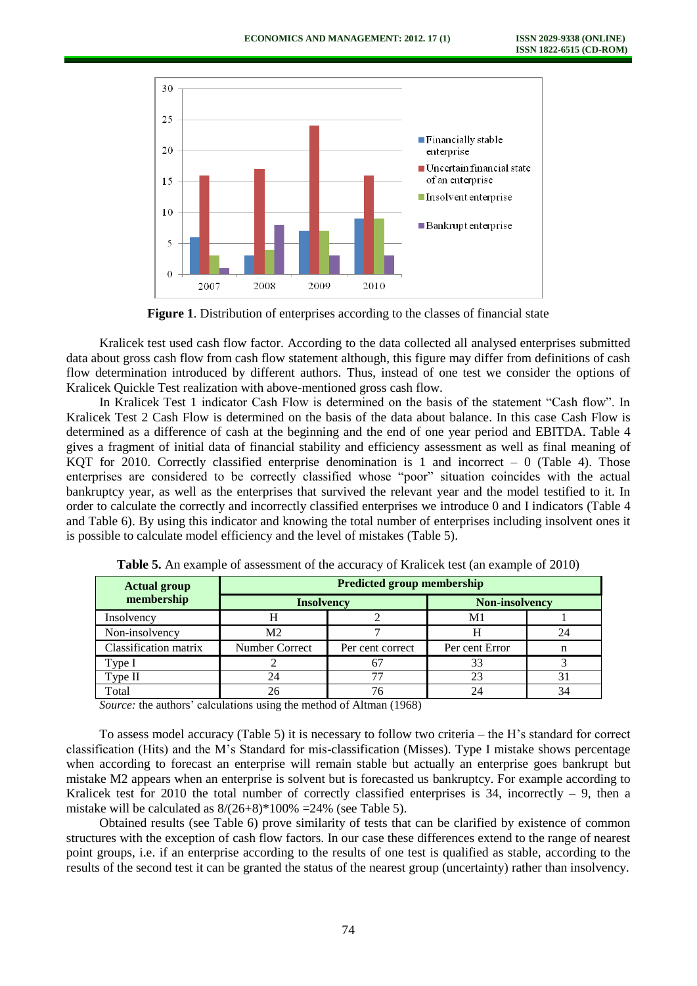

**Figure 1**. Distribution of enterprises according to the classes of financial state

Kralicek test used cash flow factor. According to the data collected all analysed enterprises submitted data about gross cash flow from cash flow statement although, this figure may differ from definitions of cash flow determination introduced by different authors. Thus, instead of one test we consider the options of Kralicek Quickle Test realization with above-mentioned gross cash flow.

In Kralicek Test 1 indicator Cash Flow is determined on the basis of the statement "Cash flow". In Kralicek Test 2 Cash Flow is determined on the basis of the data about balance. In this case Cash Flow is determined as a difference of cash at the beginning and the end of one year period and EBITDA. Table 4 gives a fragment of initial data of financial stability and efficiency assessment as well as final meaning of KQT for 2010. Correctly classified enterprise denomination is 1 and incorrect  $-0$  (Table 4). Those enterprises are considered to be correctly classified whose "poor" situation coincides with the actual bankruptcy year, as well as the enterprises that survived the relevant year and the model testified to it. In order to calculate the correctly and incorrectly classified enterprises we introduce 0 and I indicators (Table 4 and Table 6). By using this indicator and knowing the total number of enterprises including insolvent ones it is possible to calculate model efficiency and the level of mistakes (Table 5).

| <b>Actual group</b>   | <b>Predicted group membership</b> |                                            |                |    |  |  |  |  |  |
|-----------------------|-----------------------------------|--------------------------------------------|----------------|----|--|--|--|--|--|
| membership            |                                   | <b>Non-insolvency</b><br><b>Insolvency</b> |                |    |  |  |  |  |  |
| Insolvency            | п                                 |                                            | M1             |    |  |  |  |  |  |
| Non-insolvency        | M <sub>2</sub>                    |                                            |                | 24 |  |  |  |  |  |
| Classification matrix | Number Correct                    | Per cent correct                           | Per cent Error |    |  |  |  |  |  |
| Type I                |                                   |                                            | 33             |    |  |  |  |  |  |
| Type II               | 24                                |                                            | 23             |    |  |  |  |  |  |
| Total                 | 26                                |                                            | 24             |    |  |  |  |  |  |

**Table 5.** An example of assessment of the accuracy of Kralicek test (an example of 2010)

*Source:* the authors' calculations using the method of Altman (1968)

To assess model accuracy (Table 5) it is necessary to follow two criteria – the H's standard for correct classification (Hits) and the M's Standard for mis-classification (Misses). Type I mistake shows percentage when according to forecast an enterprise will remain stable but actually an enterprise goes bankrupt but mistake M2 appears when an enterprise is solvent but is forecasted us bankruptcy. For example according to Kralicek test for 2010 the total number of correctly classified enterprises is 34, incorrectly  $-9$ , then a mistake will be calculated as  $8/(26+8)*100\% = 24\%$  (see Table 5).

Obtained results (see Table 6) prove similarity of tests that can be clarified by existence of common structures with the exception of cash flow factors. In our case these differences extend to the range of nearest point groups, i.e. if an enterprise according to the results of one test is qualified as stable, according to the results of the second test it can be granted the status of the nearest group (uncertainty) rather than insolvency.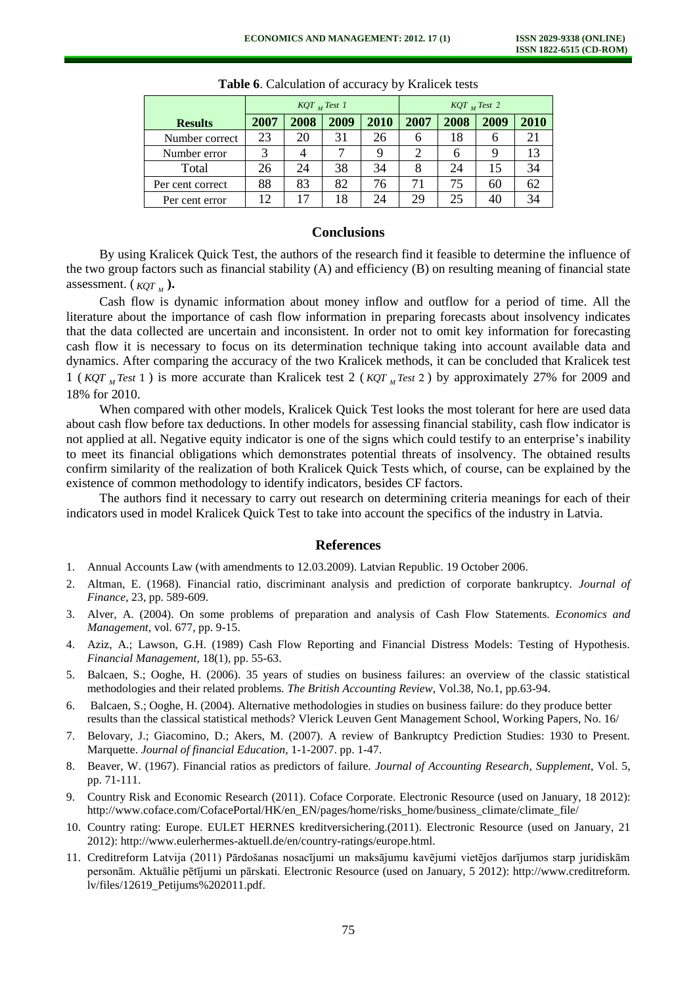|                  | $KQT$ <sub>M</sub> Test 1 |      |      |      | $KQT_{M}$ Test 2 |      |      |      |
|------------------|---------------------------|------|------|------|------------------|------|------|------|
| <b>Results</b>   | 2007                      | 2008 | 2009 | 2010 | 2007             | 2008 | 2009 | 2010 |
| Number correct   | 23                        | 20   | 31   | 26   | h                | 18   | h    |      |
| Number error     |                           |      |      |      | 2                | h    | 9    |      |
| Total            | 26                        | 24   | 38   | 34   | 8                | 24   | 15   | 34   |
| Per cent correct | 88                        | 83   | 82   | 76   | 71               | 75   | 60   | 62   |
| Per cent error   | 12                        |      | 18   | 24   | 29               | 25   | 40   |      |

**Table 6**. Calculation of accuracy by Kralicek tests

## **Conclusions**

By using Kralicek Quick Test, the authors of the research find it feasible to determine the influence of the two group factors such as financial stability (A) and efficiency (B) on resulting meaning of financial state assessment.  $(KQT_M)$ .

Cash flow is dynamic information about money inflow and outflow for a period of time. All the literature about the importance of cash flow information in preparing forecasts about insolvency indicates that the data collected are uncertain and inconsistent. In order not to omit key information for forecasting cash flow it is necessary to focus on its determination technique taking into account available data and dynamics. After comparing the accuracy of the two Kralicek methods, it can be concluded that Kralicek test 1 ( $KQT<sub>M</sub>Test1$ ) is more accurate than Kralicek test 2 ( $KQT<sub>M</sub>Test2$ ) by approximately 27% for 2009 and 18% for 2010.

When compared with other models, Kralicek Quick Test looks the most tolerant for here are used data about cash flow before tax deductions. In other models for assessing financial stability, cash flow indicator is not applied at all. Negative equity indicator is one of the signs which could testify to an enterprise's inability to meet its financial obligations which demonstrates potential threats of insolvency. The obtained results confirm similarity of the realization of both Kralicek Quick Tests which, of course, can be explained by the existence of common methodology to identify indicators, besides CF factors.

The authors find it necessary to carry out research on determining criteria meanings for each of their indicators used in model Kralicek Quick Test to take into account the specifics of the industry in Latvia.

#### **References**

- 1. Annual [Accounts Law \(with amendments](http://www.vvc.gov.lv/export/sites/default/docs/LRTA/Likumi/Annual_Accounts_Law.doc) to 12.03.2009). Latvian Republic. 19 October 2006.
- 2. Altman, E. (1968). Financial ratio, discriminant analysis and prediction of corporate bankruptcy. *Journal of Finance*, 23, pp. 589-609.
- 3. Alver, A. (2004). On some problems of preparation and analysis of Cash Flow Statements. *Economics and Management,* vol. 677, pp. 9-15.
- 4. Aziz, A.; Lawson, G.H. (1989) Cash Flow Reporting and Financial Distress Models: Testing of Hypothesis. *Financial Management,* 18(1), pp. 55-63.
- 5. Balcaen, S.; Ooghe, H. (2006). 35 years of studies on business failures: an overview of the classic statistical methodologies and their related problems. *The British Accounting Review*, Vol.38, No.1, pp.63-94.
- 6. Balcaen, S.; Ooghe, H. (2004). Alternative methodologies in studies on business failure: do they produce better results than the classical statistical methods? Vlerick Leuven Gent Management School, Working Papers, No. 16/
- 7. Belovary, J.; Giacomino, D.; Akers, M. (2007). A review of Bankruptcy Prediction Studies: 1930 to Present. Marquette. *Journal of financial Education*, 1-1-2007. pp. 1-47.
- 8. Beaver, W. (1967). Financial ratios as predictors of failure. *Journal of Accounting Research, Supplement*, Vol. 5, pp. 71-111.
- 9. Country Risk and Economic Research (2011). Coface Corporate. Electronic Resource (used on January, 18 2012): [http://www.coface.com/CofacePortal/HK/en\\_EN/pages/home/risks\\_home/business\\_climate/climate\\_file/](http://www.coface.com/CofacePortal/HK/en_EN/pages/home/risks_home/business_climate/climate_file/)
- 10. Country rating: Europe. EULET HERNES kreditversichering.(2011). Electronic Resource (used on January, 21 2012): http://www.eulerhermes-aktuell.de/en/country-ratings/europe.html.
- 11. Creditreform Latvija (2011) Pārdošanas nosacījumi un maksājumu kavējumi vietējos darījumos starp juridiskām personām. Aktuālie pētījumi un pārskati. Electronic Resource (used on January, 5 2012): http://www.creditreform. lv/files/12619\_Petijums%202011.pdf.